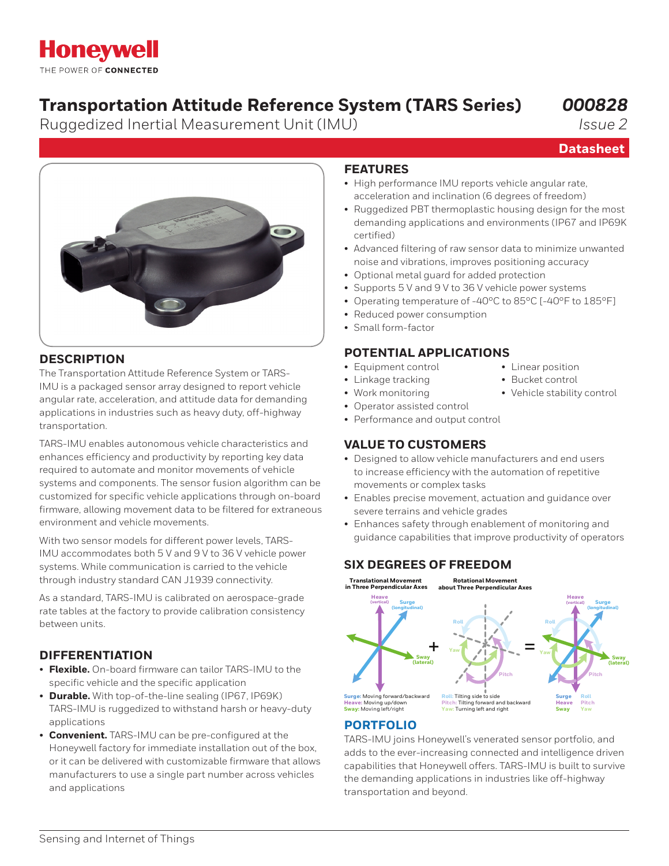# **Honeywell** THE POWER OF CONNECTED

# **Transportation Attitude Reference System (TARS Series)**

Ruggedized Inertial Measurement Unit (IMU)

*000828*

**Datasheet**

*Issue 2*

### **DESCRIPTION**

The Transportation Attitude Reference System or TARS-IMU is a packaged sensor array designed to report vehicle angular rate, acceleration, and attitude data for demanding applications in industries such as heavy duty, off-highway transportation.

TARS-IMU enables autonomous vehicle characteristics and enhances efficiency and productivity by reporting key data required to automate and monitor movements of vehicle systems and components. The sensor fusion algorithm can be customized for specific vehicle applications through on-board firmware, allowing movement data to be filtered for extraneous environment and vehicle movements.

With two sensor models for different power levels, TARS-IMU accommodates both 5 V and 9 V to 36 V vehicle power systems. While communication is carried to the vehicle through industry standard CAN J1939 connectivity.

As a standard, TARS-IMU is calibrated on aerospace-grade rate tables at the factory to provide calibration consistency between units.

## **DIFFERENTIATION**

- **Flexible.** On-board firmware can tailor TARS-IMU to the specific vehicle and the specific application
- **Durable.** With top-of-the-line sealing (IP67, IP69K) TARS-IMU is ruggedized to withstand harsh or heavy-duty applications
- **Convenient.** TARS-IMU can be pre-configured at the Honeywell factory for immediate installation out of the box, or it can be delivered with customizable firmware that allows manufacturers to use a single part number across vehicles and applications

# **FEATURES**

- High performance IMU reports vehicle angular rate, acceleration and inclination (6 degrees of freedom)
- Ruggedized PBT thermoplastic housing design for the most demanding applications and environments (IP67 and IP69K certified)
- Advanced filtering of raw sensor data to minimize unwanted noise and vibrations, improves positioning accuracy
- Optional metal guard for added protection
- Supports 5 V and 9 V to 36 V vehicle power systems
- Operating temperature of -40°C to 85°C [-40°F to 185°F]
- Reduced power consumption
- Small form-factor

### **POTENTIAL APPLICATIONS**

- Equipment control Linear position
- Linkage tracking Bucket control
- Work monitoring Vehicle stability control
- Operator assisted control
- Performance and output control

# **VALUE TO CUSTOMERS**

- Designed to allow vehicle manufacturers and end users to increase efficiency with the automation of repetitive movements or complex tasks
- Enables precise movement, actuation and guidance over severe terrains and vehicle grades
- Enhances safety through enablement of monitoring and guidance capabilities that improve productivity of operators

## **SIX DEGREES OF FREEDOM**



## **[PORTFOLIO](https://sensing.honeywell.com/sensors/inertial-measurement-units/6DF-series)**

TARS-IMU joins Honeywell's venerated sensor portfolio, and adds to the ever-increasing connected and intelligence driven capabilities that Honeywell offers. TARS-IMU is built to survive the demanding applications in industries like off-highway transportation and beyond.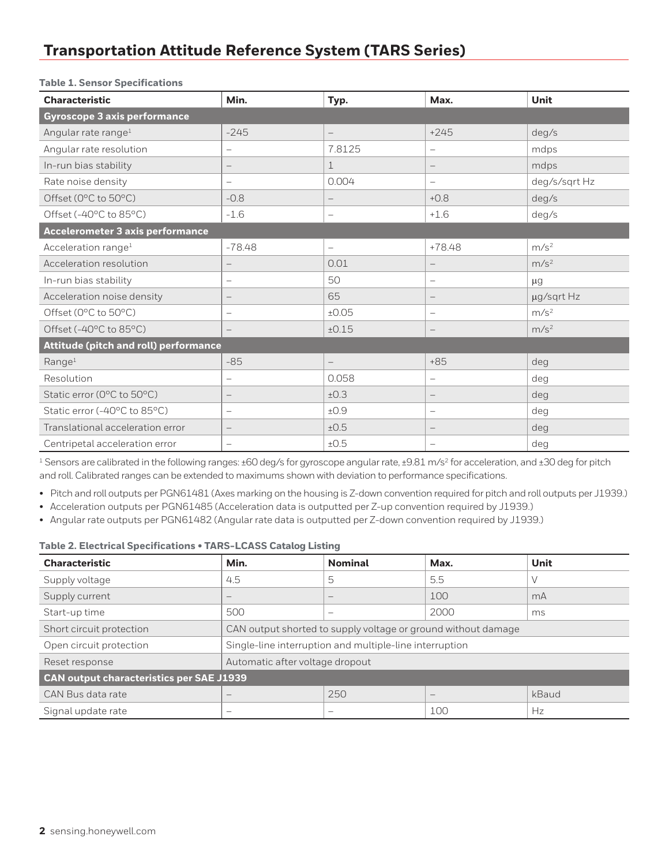# **Transportation Attitude Reference System (TARS Series)**

|  | <b>Table 1. Sensor Specifications</b> |  |  |
|--|---------------------------------------|--|--|
|--|---------------------------------------|--|--|

| <b>Characteristic</b>                   | Min.                     | Typ.                     | Max.                            | <b>Unit</b>      |
|-----------------------------------------|--------------------------|--------------------------|---------------------------------|------------------|
| <b>Gyroscope 3 axis performance</b>     |                          |                          |                                 |                  |
| Angular rate range <sup>1</sup>         | $-245$                   | $\overline{\phantom{m}}$ | $+245$                          | deg/s            |
| Angular rate resolution                 | $\overline{\phantom{0}}$ | 7.8125                   | $\overline{\phantom{0}}$        | mdps             |
| In-run bias stability                   | —                        | $\mathbf 1$              | $\overline{\phantom{m}}$        | mdps             |
| Rate noise density                      | $\overline{\phantom{0}}$ | 0.004                    | $\overline{\phantom{0}}$        | deg/s/sqrt Hz    |
| Offset (0°C to 50°C)                    | $-0.8$                   | $\overline{\phantom{m}}$ | $+0.8$                          | deg/s            |
| Offset (-40°C to 85°C)                  | $-1.6$                   | $\qquad \qquad -$        | $+1.6$                          | deg/s            |
| <b>Accelerometer 3 axis performance</b> |                          |                          |                                 |                  |
| Acceleration range <sup>1</sup>         | $-78.48$                 | $\overline{\phantom{0}}$ | $+78.48$                        | m/s <sup>2</sup> |
| Acceleration resolution                 | —                        | 0.01                     | $\qquad \qquad -$               | m/s <sup>2</sup> |
| In-run bias stability                   | $\overline{\phantom{0}}$ | 50                       | $\overline{\phantom{m}}$        | $\mu$ g          |
| Acceleration noise density              |                          | 65                       | $\qquad \qquad -$               | µg/sqrt Hz       |
| Offset (0°C to 50°C)                    | -                        | ±0.05                    | $\overline{\phantom{0}}$        | m/s <sup>2</sup> |
| Offset (-40°C to 85°C)                  | $\overline{\phantom{0}}$ | ±0.15                    | $\overline{\phantom{m}}$        | m/s <sup>2</sup> |
| Attitude (pitch and roll) performance   |                          |                          |                                 |                  |
| Range <sup>1</sup>                      | $-85$                    | $\overline{\phantom{a}}$ | $+85$                           | deg              |
| Resolution                              |                          | 0.058                    | $\overline{\phantom{0}}$        | deg              |
| Static error (0°C to 50°C)              | $\qquad \qquad -$        | ±0.3                     | $\hspace{0.1mm}-\hspace{0.1mm}$ | deg              |
| Static error (-40°C to 85°C)            | $\overline{\phantom{0}}$ | ±0.9                     | $\overline{\phantom{m}}$        | deg              |
| Translational acceleration error        | —                        | ±0.5                     | $\overline{\phantom{m}}$        | deg              |
| Centripetal acceleration error          | -                        | ±0.5                     | $\overline{\phantom{0}}$        | deg              |

<sup>1</sup> Sensors are calibrated in the following ranges: ±60 deg/s for gyroscope angular rate, ±9.81 m/s<sup>2</sup> for acceleration, and ±30 deg for pitch and roll. Calibrated ranges can be extended to maximums shown with deviation to performance specifications.

- Pitch and roll outputs per PGN61481 (Axes marking on the housing is Z-down convention required for pitch and roll outputs per J1939.)
- Acceleration outputs per PGN61485 (Acceleration data is outputted per Z-up convention required by J1939.)
- Angular rate outputs per PGN61482 (Angular rate data is outputted per Z-down convention required by J1939.)

#### **Table 2. Electrical Specifications • TARS-LCASS Catalog Listing**

| <b>Characteristic</b>                           | Min.                                                    | <b>Nominal</b>                                                | Max.                                      | Unit  |
|-------------------------------------------------|---------------------------------------------------------|---------------------------------------------------------------|-------------------------------------------|-------|
| Supply voltage                                  | 4.5                                                     | 5                                                             | 5.5                                       |       |
| Supply current                                  | $\overline{\phantom{0}}$                                | $\overline{\phantom{a}}$                                      | 100                                       | mA    |
| Start-up time                                   | 500                                                     | $\overline{\phantom{a}}$                                      | 2000                                      | ms.   |
| Short circuit protection                        |                                                         | CAN output shorted to supply voltage or ground without damage |                                           |       |
| Open circuit protection                         | Single-line interruption and multiple-line interruption |                                                               |                                           |       |
| Reset response                                  | Automatic after voltage dropout                         |                                                               |                                           |       |
| <b>CAN output characteristics per SAE J1939</b> |                                                         |                                                               |                                           |       |
| CAN Bus data rate                               |                                                         | 250                                                           | $\qquad \qquad \overline{\qquad \qquad }$ | kBaud |
| Signal update rate                              |                                                         |                                                               | 100                                       | Hz    |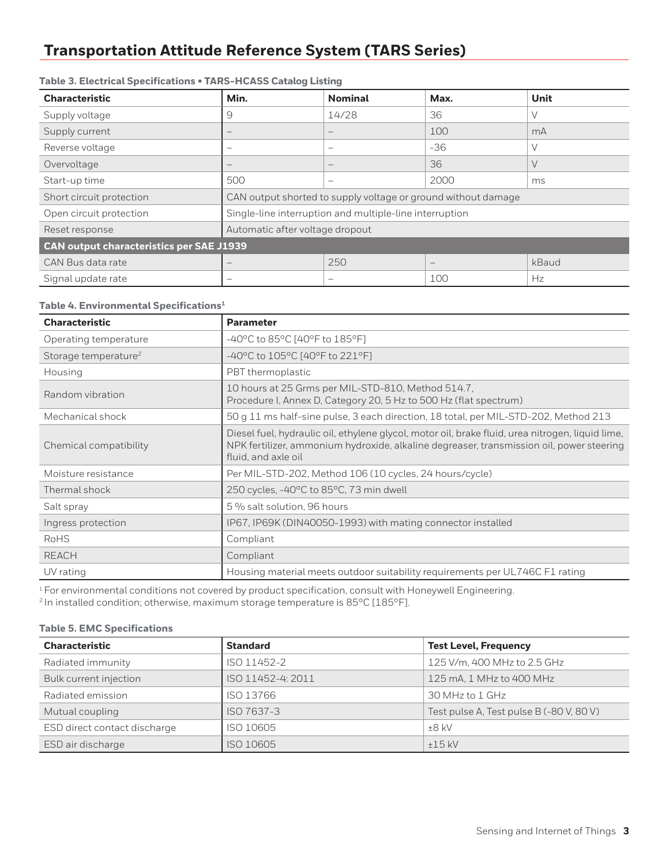# **Transportation Attitude Reference System (TARS Series)**

# **Characteristic Min. Nominal Max. Unit** Supply voltage 9 14/28 36 V Supply current  $\vert - \vert$  –  $\vert$  –  $\vert$  100 mA Reverse voltage – – -36 V Overvoltage – – – – – – – – – – – 136 V Start-up time  $500$   $\vert - \vert$   $\vert$  2000 ms Short circuit protection CAN output shorted to supply voltage or ground without damage Open circuit protection Single-line interruption and multiple-line interruption Reset response Automatic after voltage dropout **CAN output characteristics per SAE J1939** CAN Bus data rate  $\vert - \vert$  250  $\vert - \vert$  kBaud Signal update rate – – 100 Hz

### **Table 3. Electrical Specifications • TARS-HCASS Catalog Listing**

### **Table 4. Environmental Specifications1**

| <b>Characteristic</b>            | <b>Parameter</b>                                                                                                                                                                                                    |
|----------------------------------|---------------------------------------------------------------------------------------------------------------------------------------------------------------------------------------------------------------------|
| Operating temperature            | -40°C to 85°C [40°F to 185°F]                                                                                                                                                                                       |
| Storage temperature <sup>2</sup> | -40°C to 105°C [40°F to 221°F]                                                                                                                                                                                      |
| Housing                          | PBT thermoplastic                                                                                                                                                                                                   |
| Random vibration                 | 10 hours at 25 Grms per MIL-STD-810, Method 514.7,<br>Procedure I, Annex D, Category 20, 5 Hz to 500 Hz (flat spectrum)                                                                                             |
| Mechanical shock                 | 50 g 11 ms half-sine pulse, 3 each direction, 18 total, per MIL-STD-202, Method 213                                                                                                                                 |
| Chemical compatibility           | Diesel fuel, hydraulic oil, ethylene glycol, motor oil, brake fluid, urea nitrogen, liquid lime,<br>NPK fertilizer, ammonium hydroxide, alkaline degreaser, transmission oil, power steering<br>fluid, and axle oil |
| Moisture resistance              | Per MIL-STD-202, Method 106 (10 cycles, 24 hours/cycle)                                                                                                                                                             |
| Thermal shock                    | 250 cycles, -40°C to 85°C, 73 min dwell                                                                                                                                                                             |
| Salt spray                       | 5 % salt solution, 96 hours                                                                                                                                                                                         |
| Ingress protection               | IP67, IP69K (DIN40050-1993) with mating connector installed                                                                                                                                                         |
| <b>RoHS</b>                      | Compliant                                                                                                                                                                                                           |
| <b>REACH</b>                     | Compliant                                                                                                                                                                                                           |
| UV rating                        | Housing material meets outdoor suitability requirements per UL746C F1 rating                                                                                                                                        |

<sup>1</sup> For environmental conditions not covered by product specification, consult with Honeywell Engineering.

<sup>2</sup> In installed condition; otherwise, maximum storage temperature is  $85^{\circ}$ C [185 $^{\circ}$ F].

### **Table 5. EMC Specifications**

| <b>Characteristic</b>        | <b>Standard</b>   | <b>Test Level, Frequency</b>             |
|------------------------------|-------------------|------------------------------------------|
| Radiated immunity            | ISO 11452-2       | 125 V/m, 400 MHz to 2.5 GHz              |
| Bulk current injection       | ISO 11452-4: 2011 | 125 mA, 1 MHz to 400 MHz                 |
| Radiated emission            | ISO 13766         | 30 MHz to 1 GHz                          |
| Mutual coupling              | ISO 7637-3        | Test pulse A, Test pulse B (-80 V, 80 V) |
| ESD direct contact discharge | ISO 10605         | $+8$ kV                                  |
| ESD air discharge            | ISO 10605         | $+15$ kV                                 |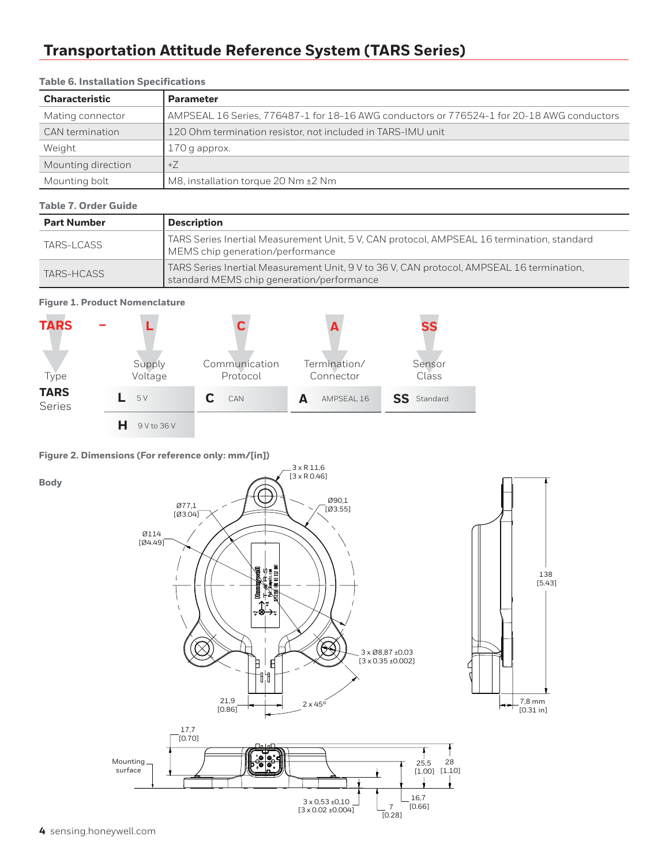# **Transportation Attitude Reference System (TARS Series)**

| <b>Characteristic</b> | <b>Parameter</b>                                                                          |  |
|-----------------------|-------------------------------------------------------------------------------------------|--|
| Mating connector      | AMPSEAL 16 Series, 776487-1 for 18-16 AWG conductors or 776524-1 for 20-18 AWG conductors |  |
| CAN termination       | 120 Ohm termination resistor, not included in TARS-IMU unit                               |  |
| Weight                | 170 g approx.                                                                             |  |
| Mounting direction    | $+7$                                                                                      |  |
| Mounting bolt         | M8, installation torque 20 Nm ±2 Nm                                                       |  |

### **Table 6. Installation Specifications**

### **Table 7. Order Guide**

| <b>Part Number</b> | <b>Description</b>                                                                                                                     |  |
|--------------------|----------------------------------------------------------------------------------------------------------------------------------------|--|
| TARS-LCASS         | TARS Series Inertial Measurement Unit, 5 V, CAN protocol, AMPSEAL 16 termination, standard<br>MEMS chip generation/performance         |  |
| TARS-HCASS         | TARS Series Inertial Measurement Unit, 9 V to 36 V, CAN protocol, AMPSEAL 16 termination,<br>standard MEMS chip generation/performance |  |

### **Figure 1. Product Nomenclature**



### **Figure 2. Dimensions (For reference only: mm/[in])**

**Body**

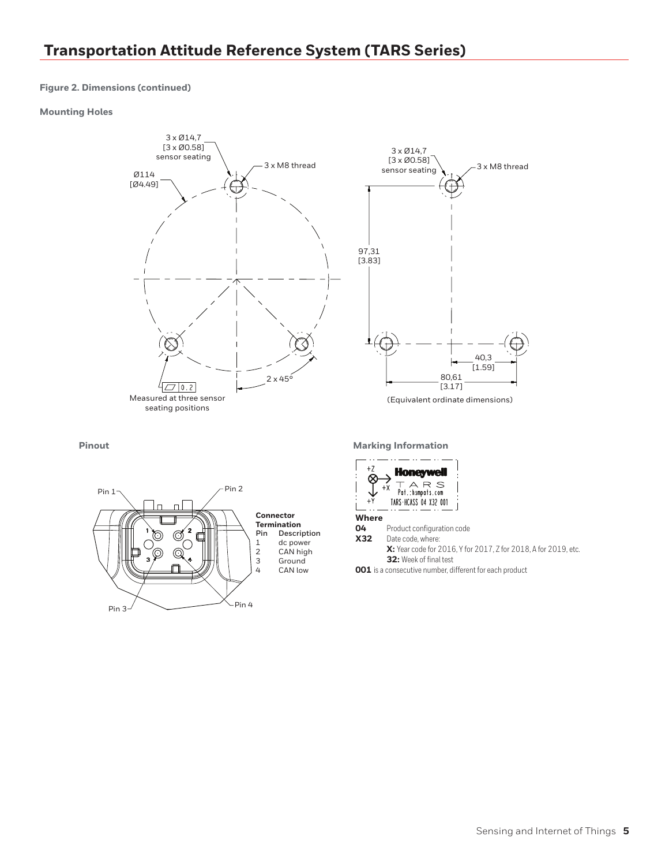#### **Figure 2. Dimensions (continued)**

#### **Mounting Holes**





(Equivalent ordinate dimensions)



**Pinout Marking Information** 



Date code, where:

**X:** Year code for 2016, Y for 2017, Z for 2018, A for 2019, etc. **32:** Week of final test

**001** is a consecutive number, different for each product